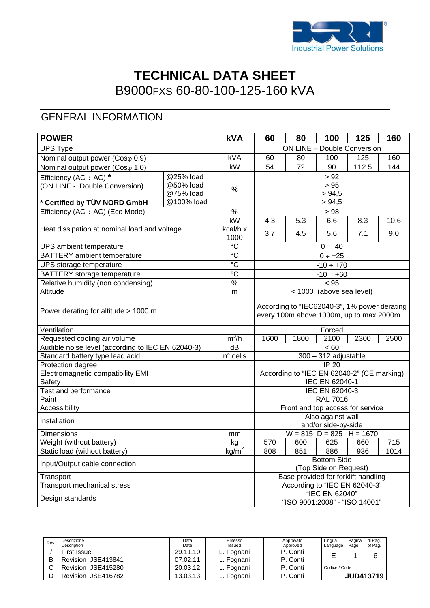

# **TECHNICAL DATA SHEET**  B9000FXS 60-80-100-125-160 kVA

### GENERAL INFORMATION

| <b>POWER</b>                                      |            | <b>kVA</b>        | 60                                          | 80                                                                                      | 100                    | 125   | 160  |  |
|---------------------------------------------------|------------|-------------------|---------------------------------------------|-----------------------------------------------------------------------------------------|------------------------|-------|------|--|
| <b>UPS Type</b>                                   |            |                   | ON LINE - Double Conversion                 |                                                                                         |                        |       |      |  |
| Nominal output power (Coso 0.9)                   |            | kVA               | 60                                          | 80                                                                                      | 100                    | 125   | 160  |  |
| Nominal output power (Coso 1.0)                   |            | kW                | 54                                          | 72                                                                                      | 90                     | 112.5 | 144  |  |
| Efficiency (AC $\div$ AC) *                       | @25% load  |                   |                                             |                                                                                         | > 92                   |       |      |  |
| (ON LINE - Double Conversion)                     | @50% load  | ℅                 |                                             |                                                                                         | > 95                   |       |      |  |
|                                                   | @75% load  |                   |                                             |                                                                                         | > 94,5                 |       |      |  |
| * Certified by TÜV NORD GmbH                      | @100% load |                   |                                             |                                                                                         | > 94,5                 |       |      |  |
| Efficiency (AC ÷ AC) (Eco Mode)                   |            | $\frac{1}{2}$     |                                             |                                                                                         | > 98                   |       |      |  |
|                                                   |            | kW                | 4.3                                         | 5.3                                                                                     | 6.6                    | 8.3   | 10.6 |  |
| Heat dissipation at nominal load and voltage      |            | kcal/h x          | 3.7                                         | 4.5                                                                                     | 5.6                    | 7.1   | 9.0  |  |
|                                                   |            | 1000              |                                             |                                                                                         |                        |       |      |  |
| UPS ambient temperature                           |            | $\overline{c}$    |                                             |                                                                                         | $0 \div 40$            |       |      |  |
| <b>BATTERY</b> ambient temperature                |            | $\overline{C}$    |                                             |                                                                                         | $0 \div +25$           |       |      |  |
| UPS storage temperature                           |            | $\rm ^{\circ}C$   |                                             |                                                                                         | $-10 \div +70$         |       |      |  |
| BATTERY storage temperature                       |            | $\overline{c}$    |                                             |                                                                                         | $-10 \div +60$         |       |      |  |
| Relative humidity (non condensing)                |            | $\%$              |                                             |                                                                                         | < 95                   |       |      |  |
| Altitude                                          |            | m                 | < 1000 (above sea level)                    |                                                                                         |                        |       |      |  |
| Power derating for altitude > 1000 m              |            |                   |                                             | According to "IEC62040-3", 1% power derating<br>every 100m above 1000m, up to max 2000m |                        |       |      |  |
| Ventilation                                       |            |                   | Forced                                      |                                                                                         |                        |       |      |  |
| Requested cooling air volume                      |            | $m^3/h$           | 1600                                        | 1800                                                                                    | 2100                   | 2300  | 2500 |  |
| Audible noise level (according to IEC EN 62040-3) |            | dB                | < 60                                        |                                                                                         |                        |       |      |  |
| Standard battery type lead acid                   |            | $n^{\circ}$ cells |                                             |                                                                                         | $300 - 312$ adjustable |       |      |  |
| Protection degree                                 |            |                   |                                             |                                                                                         | $IP$ 20                |       |      |  |
| Electromagnetic compatibility EMI                 |            |                   | According to "IEC EN 62040-2" (CE marking)  |                                                                                         |                        |       |      |  |
| Safety                                            |            |                   | IEC EN 62040-1                              |                                                                                         |                        |       |      |  |
| Test and performance                              |            |                   | IEC EN 62040-3                              |                                                                                         |                        |       |      |  |
| Paint                                             |            |                   | <b>RAL 7016</b>                             |                                                                                         |                        |       |      |  |
| Accessibility                                     |            |                   | Front and top access for service            |                                                                                         |                        |       |      |  |
| Installation                                      |            |                   | Also against wall<br>and/or side-by-side    |                                                                                         |                        |       |      |  |
| <b>Dimensions</b>                                 |            | mm                | $W = 815$ D = 825 H = 1670                  |                                                                                         |                        |       |      |  |
| Weight (without battery)                          |            | kg                | 570                                         | 600                                                                                     | 625                    | 660   | 715  |  |
| Static load (without battery)                     |            | kg/m <sup>2</sup> | 808                                         | 851                                                                                     | 886                    | 936   | 1014 |  |
| Input/Output cable connection                     |            |                   | <b>Bottom Side</b><br>(Top Side on Request) |                                                                                         |                        |       |      |  |
| Transport                                         |            |                   | Base provided for forklift handling         |                                                                                         |                        |       |      |  |
| Transport mechanical stress                       |            |                   | According to "IEC EN 62040-3"               |                                                                                         |                        |       |      |  |
|                                                   |            |                   | "IEC EN 62040"                              |                                                                                         |                        |       |      |  |
| Design standards                                  |            |                   | "ISO 9001:2008" - "ISO 14001"               |                                                                                         |                        |       |      |  |

| Rev.   | Descrizione        | Data     | Emesso     | Approvato | Lingua        | Pagina | di Pag.          |
|--------|--------------------|----------|------------|-----------|---------------|--------|------------------|
|        | Description        | Date     | Issued     | Approved  | Language      | Page   | of Pag.          |
|        | First Issue        | 29.11.10 | ∟. Fognani | P. Conti  |               |        | 6                |
| B      | Revision JSE413841 | 07.02.11 | ∟. Fognani | P. Conti  |               |        |                  |
| $\sim$ | Revision JSE415280 | 20.03.12 | L. Fognani | P. Conti  | Codice / Code |        |                  |
|        | Revision JSE416782 | 13.03.13 | ∟. Fognani | P. Conti  |               |        | <b>JUD413719</b> |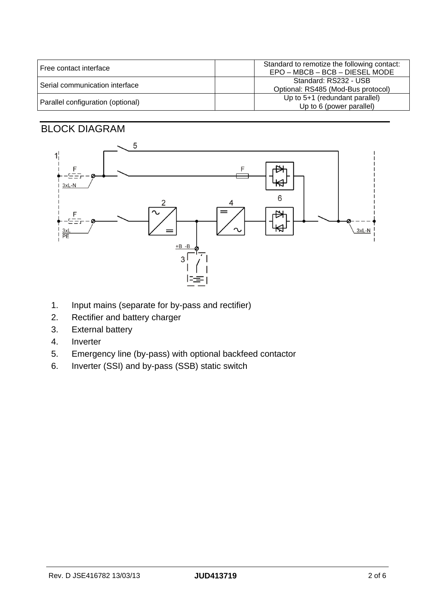| l Free contact interface          | Standard to remotize the following contact:<br>EPO - MBCB - BCB - DIESEL MODE |
|-----------------------------------|-------------------------------------------------------------------------------|
| Serial communication interface    | Standard: RS232 - USB<br>Optional: RS485 (Mod-Bus protocol)                   |
| Parallel configuration (optional) | Up to 5+1 (redundant parallel)<br>Up to 6 (power parallel)                    |

### BLOCK DIAGRAM



- 1. Input mains (separate for by-pass and rectifier)
- 2. Rectifier and battery charger
- 3. External battery
- 4. Inverter
- 5. Emergency line (by-pass) with optional backfeed contactor
- 6. Inverter (SSI) and by-pass (SSB) static switch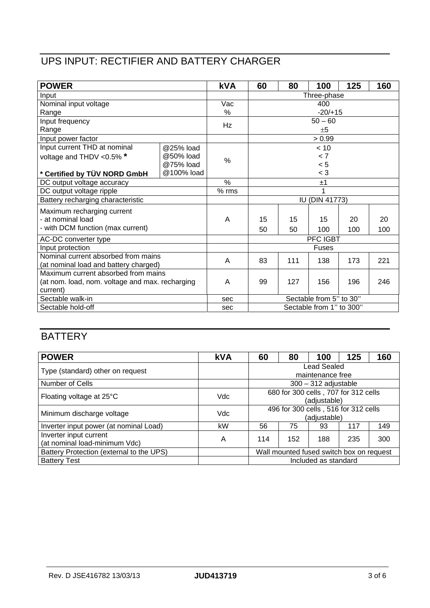## UPS INPUT: RECTIFIER AND BATTERY CHARGER

| <b>POWER</b>                                    |            | <b>kVA</b> | 60                       | 80  | 100       | 125 | 160 |  |
|-------------------------------------------------|------------|------------|--------------------------|-----|-----------|-----|-----|--|
| Input                                           |            |            | Three-phase              |     |           |     |     |  |
| Nominal input voltage                           |            | Vac        | 400                      |     |           |     |     |  |
| Range                                           |            | $\%$       | $-20/+15$                |     |           |     |     |  |
| Input frequency                                 |            | Hz         |                          |     | $50 - 60$ |     |     |  |
| Range                                           |            |            | ±5                       |     |           |     |     |  |
| Input power factor                              |            |            |                          |     | > 0.99    |     |     |  |
| Input current THD at nominal                    | @25% load  |            |                          |     | < 10      |     |     |  |
| voltage and THDV <0.5% *                        | @50% load  | %          | < 7                      |     |           |     |     |  |
|                                                 | @75% load  |            | < 5                      |     |           |     |     |  |
| * Certified by TÜV NORD GmbH                    | @100% load |            | $<$ 3                    |     |           |     |     |  |
| DC output voltage accuracy                      |            | $\%$       |                          | ±1  |           |     |     |  |
| DC output voltage ripple                        |            | $%$ rms    |                          |     |           |     |     |  |
| Battery recharging characteristic               |            |            | <b>IU (DIN 41773)</b>    |     |           |     |     |  |
| Maximum recharging current                      |            |            |                          |     |           |     |     |  |
| - at nominal load                               |            | A          | 15                       | 15  | 15        | 20  | 20  |  |
| - with DCM function (max current)               |            |            | 50                       | 50  | 100       | 100 | 100 |  |
| AC-DC converter type                            |            |            | PFC IGBT                 |     |           |     |     |  |
| Input protection                                |            |            | Fuses                    |     |           |     |     |  |
| Nominal current absorbed from mains             |            | A          | 83                       | 111 | 138       | 173 | 221 |  |
| (at nominal load and battery charged)           |            |            |                          |     |           |     |     |  |
| Maximum current absorbed from mains             |            |            |                          |     |           |     |     |  |
| (at nom. load, nom. voltage and max. recharging |            | A          | 99                       | 127 | 156       | 196 | 246 |  |
| current)                                        |            |            |                          |     |           |     |     |  |
| Sectable walk-in                                |            | sec        | Sectable from 5" to 30"  |     |           |     |     |  |
| Sectable hold-off                               |            | sec        | Sectable from 1" to 300" |     |           |     |     |  |

### **BATTERY**

| <b>POWER</b>                                            | <b>kVA</b> | 60                                       | 80  | 100                                                  | 125 | 160 |
|---------------------------------------------------------|------------|------------------------------------------|-----|------------------------------------------------------|-----|-----|
| Type (standard) other on request                        |            | Lead Sealed<br>maintenance free          |     |                                                      |     |     |
| Number of Cells                                         |            | $300 - 312$ adjustable                   |     |                                                      |     |     |
| Floating voltage at 25°C                                | Vdc        |                                          |     | 680 for 300 cells, 707 for 312 cells<br>(adjustable) |     |     |
| Minimum discharge voltage                               | Vdc        |                                          |     | 496 for 300 cells, 516 for 312 cells<br>(adjustable) |     |     |
| Inverter input power (at nominal Load)                  | kW         | 56                                       | 75  | 93                                                   | 117 | 149 |
| Inverter input current<br>(at nominal load-minimum Vdc) | A          | 114                                      | 152 | 188                                                  | 235 | 300 |
| Battery Protection (external to the UPS)                |            | Wall mounted fused switch box on request |     |                                                      |     |     |
| <b>Battery Test</b>                                     |            | Included as standard                     |     |                                                      |     |     |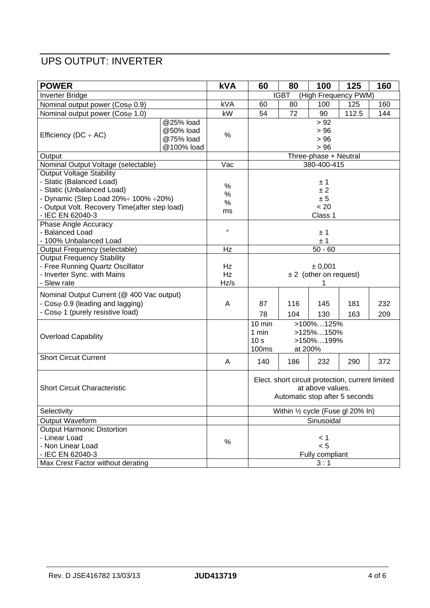# UPS OUTPUT: INVERTER

| <b>POWER</b>                                                |            | <b>kVA</b> | 60                                              | 80                             | 100                   | 125                                              | 160 |  |
|-------------------------------------------------------------|------------|------------|-------------------------------------------------|--------------------------------|-----------------------|--------------------------------------------------|-----|--|
| <b>Inverter Bridge</b>                                      |            |            | (High Frequency PWM)<br><b>IGBT</b>             |                                |                       |                                                  |     |  |
| Nominal output power (Coso 0.9)                             |            | kVA        | 60                                              | 80                             | 100                   | 125                                              | 160 |  |
| Nominal output power (Coso 1.0)                             |            | kW         | 54                                              | 72                             | 90                    | 112.5                                            | 144 |  |
|                                                             | @25% load  |            |                                                 |                                | > 92                  |                                                  |     |  |
| Efficiency ( $DC \div AC$ )                                 | @50% load  | %          |                                                 |                                | > 96                  |                                                  |     |  |
|                                                             | @75% load  |            |                                                 |                                | > 96                  |                                                  |     |  |
|                                                             | @100% load |            | > 96                                            |                                |                       |                                                  |     |  |
| Output                                                      |            |            |                                                 |                                | Three-phase + Neutral |                                                  |     |  |
| Nominal Output Voltage (selectable)                         |            | Vac        | 380-400-415                                     |                                |                       |                                                  |     |  |
| <b>Output Voltage Stability</b>                             |            |            |                                                 |                                |                       |                                                  |     |  |
| - Static (Balanced Load)                                    |            | $\%$       | ± 1                                             |                                |                       |                                                  |     |  |
| - Static (Unbalanced Load)                                  |            | $\%$       |                                                 | ± 2                            |                       |                                                  |     |  |
| - Dynamic (Step Load $20\% \div 100\% \div 20\%$ )          |            | $\%$       |                                                 |                                | ± 5                   |                                                  |     |  |
| - Output Volt. Recovery Time(after step load)               |            | ms         |                                                 |                                | < 20                  |                                                  |     |  |
| - IEC EN 62040-3                                            |            |            |                                                 |                                | Class 1               |                                                  |     |  |
| Phase Angle Accuracy                                        |            |            |                                                 |                                |                       |                                                  |     |  |
| - Balanced Load                                             |            | $\circ$    |                                                 |                                | ±1                    |                                                  |     |  |
| - 100% Unbalanced Load                                      |            |            |                                                 | ±1                             |                       |                                                  |     |  |
| Output Frequency (selectable)                               |            | Hz         |                                                 |                                | $50 - 60$             |                                                  |     |  |
| Output Frequency Stability                                  |            |            |                                                 |                                |                       |                                                  |     |  |
| - Free Running Quartz Oscillator                            |            | Hz         | ± 0,001                                         |                                |                       |                                                  |     |  |
| - Inverter Sync. with Mains                                 |            | Hz         | $± 2$ (other on request)                        |                                |                       |                                                  |     |  |
| - Slew rate                                                 |            | Hz/s       |                                                 |                                |                       |                                                  |     |  |
| Nominal Output Current (@ 400 Vac output)                   |            |            |                                                 |                                |                       |                                                  |     |  |
| - Coso 0.9 (leading and lagging)                            |            | A          | 87                                              | 116                            | 145                   | 181                                              | 232 |  |
| - Coso 1 (purely resistive load)                            |            |            | 78                                              | 104                            | 130                   | 163                                              | 209 |  |
|                                                             |            |            | $10$ min                                        |                                | >100%125%             |                                                  |     |  |
|                                                             |            |            | 1 min                                           |                                | >125%150%             |                                                  |     |  |
| <b>Overload Capability</b>                                  |            |            | 10 <sub>s</sub>                                 |                                | >150%199%             |                                                  |     |  |
|                                                             |            |            | <b>100ms</b>                                    | at 200%                        |                       |                                                  |     |  |
| <b>Short Circuit Current</b>                                |            | A          | 140                                             | 186                            | 232                   | 290                                              | 372 |  |
|                                                             |            |            |                                                 |                                |                       |                                                  |     |  |
|                                                             |            |            |                                                 |                                |                       | Elect. short circuit protection, current limited |     |  |
| <b>Short Circuit Characteristic</b>                         |            |            |                                                 |                                | at above values.      |                                                  |     |  |
|                                                             |            |            |                                                 | Automatic stop after 5 seconds |                       |                                                  |     |  |
|                                                             |            |            |                                                 |                                |                       |                                                  |     |  |
| Selectivity                                                 |            |            | Within 1/2 cycle (Fuse gl 20% In)<br>Sinusoidal |                                |                       |                                                  |     |  |
| <b>Output Waveform</b><br><b>Output Harmonic Distortion</b> |            |            |                                                 |                                |                       |                                                  |     |  |
| - Linear Load                                               |            |            |                                                 |                                |                       |                                                  |     |  |
|                                                             |            | %          |                                                 |                                | < 1<br>< 5            |                                                  |     |  |
| - Non Linear Load                                           |            |            | Fully compliant                                 |                                |                       |                                                  |     |  |
| - IEC EN 62040-3                                            |            |            |                                                 |                                |                       |                                                  |     |  |
| Max Crest Factor without derating                           |            |            |                                                 |                                | 3:1                   |                                                  |     |  |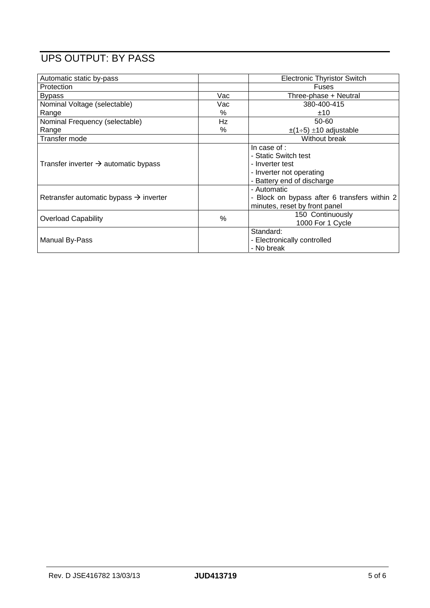# UPS OUTPUT: BY PASS

| Automatic static by-pass                           |      | <b>Electronic Thyristor Switch</b>                                                                                |
|----------------------------------------------------|------|-------------------------------------------------------------------------------------------------------------------|
| Protection                                         |      | <b>Fuses</b>                                                                                                      |
| <b>Bypass</b>                                      | Vac  | Three-phase + Neutral                                                                                             |
| Nominal Voltage (selectable)                       | Vac  | 380-400-415                                                                                                       |
| Range                                              | $\%$ | ±10                                                                                                               |
| Nominal Frequency (selectable)                     | Hz   | 50-60                                                                                                             |
| Range                                              | %    | $\pm$ (1÷5) $\pm$ 10 adjustable                                                                                   |
| Transfer mode                                      |      | Without break                                                                                                     |
| Transfer inverter $\rightarrow$ automatic bypass   |      | In case of :<br>- Static Switch test<br>- Inverter test<br>- Inverter not operating<br>- Battery end of discharge |
| Retransfer automatic bypass $\rightarrow$ inverter |      | - Automatic<br>- Block on bypass after 6 transfers within 2<br>minutes, reset by front panel                      |
| <b>Overload Capability</b>                         | %    | 150 Continuously<br>1000 For 1 Cycle                                                                              |
| Manual By-Pass                                     |      | Standard:<br>- Electronically controlled<br>- No break                                                            |